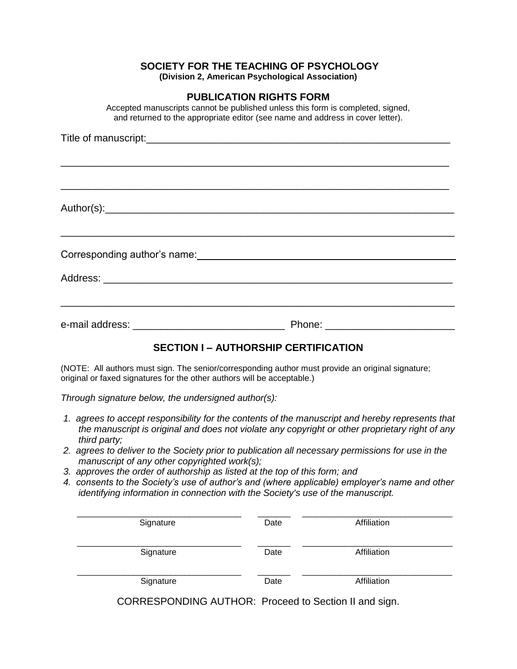### **SOCIETY FOR THE TEACHING OF PSYCHOLOGY**

**(Division 2, American Psychological Association)** 

#### **PUBLICATION RIGHTS FORM**

Accepted manuscripts cannot be published unless this form is completed, signed, and returned to the appropriate editor (see name and address in cover letter).

#### **SECTION I – AUTHORSHIP CERTIFICATION**

(NOTE: All authors must sign. The senior/corresponding author must provide an original signature; original or faxed signatures for the other authors will be acceptable.)

*Through signature below, the undersigned author(s):* 

- *1. agrees to accept responsibility for the contents of the manuscript and hereby represents that the manuscript is original and does not violate any copyright or other proprietary right of any third party;*
- *2. agrees to deliver to the Society prior to publication all necessary permissions for use in the manuscript of any other copyrighted work(s);*
- *3. approves the order of authorship as listed at the top of this form; and*
- *4. consents to the Society's use of author's and (where applicable) employer's name and other identifying information in connection with the Society's use of the manuscript.*

| Signature | Date | Affiliation |
|-----------|------|-------------|
| Signature | Date | Affiliation |
| Signature | Date | Affiliation |

CORRESPONDING AUTHOR: Proceed to Section II and sign.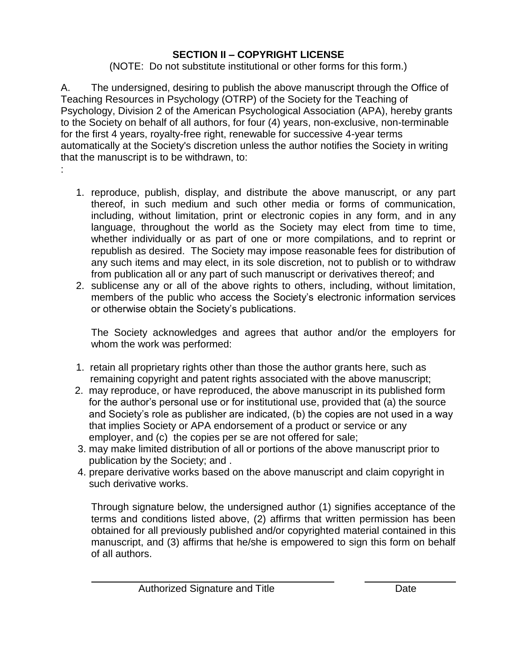# **SECTION II – COPYRIGHT LICENSE**

(NOTE: Do not substitute institutional or other forms for this form.)

A. The undersigned, desiring to publish the above manuscript through the Office of Teaching Resources in Psychology (OTRP) of the Society for the Teaching of Psychology, Division 2 of the American Psychological Association (APA), hereby grants to the Society on behalf of all authors, for four (4) years, non-exclusive, non-terminable for the first 4 years, royalty-free right, renewable for successive 4-year terms automatically at the Society's discretion unless the author notifies the Society in writing that the manuscript is to be withdrawn, to: :

- 1. reproduce, publish, display, and distribute the above manuscript, or any part thereof, in such medium and such other media or forms of communication, including, without limitation, print or electronic copies in any form, and in any language, throughout the world as the Society may elect from time to time, whether individually or as part of one or more compilations, and to reprint or republish as desired. The Society may impose reasonable fees for distribution of any such items and may elect, in its sole discretion, not to publish or to withdraw from publication all or any part of such manuscript or derivatives thereof; and
- 2. sublicense any or all of the above rights to others, including, without limitation, members of the public who access the Society's electronic information services or otherwise obtain the Society's publications.

The Society acknowledges and agrees that author and/or the employers for whom the work was performed:

- 1. retain all proprietary rights other than those the author grants here, such as remaining copyright and patent rights associated with the above manuscript;
- 2. may reproduce, or have reproduced, the above manuscript in its published form for the author's personal use or for institutional use, provided that (a) the source and Society's role as publisher are indicated, (b) the copies are not used in a way that implies Society or APA endorsement of a product or service or any employer, and (c) the copies per se are not offered for sale;
- 3. may make limited distribution of all or portions of the above manuscript prior to publication by the Society; and .
- 4. prepare derivative works based on the above manuscript and claim copyright in such derivative works.

Through signature below, the undersigned author (1) signifies acceptance of the terms and conditions listed above, (2) affirms that written permission has been obtained for all previously published and/or copyrighted material contained in this manuscript, and (3) affirms that he/she is empowered to sign this form on behalf of all authors.